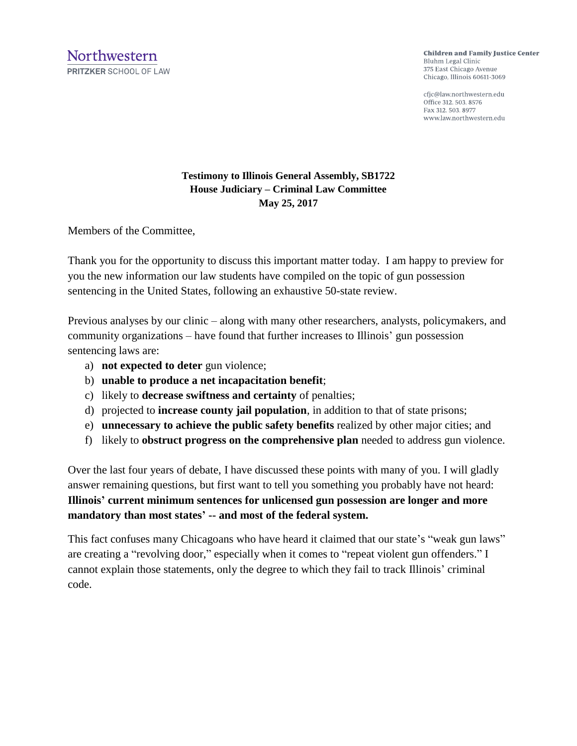**Children and Family Justice Center** Bluhm Legal Clinic 375 East Chicago Avenue Chicago, Illinois 60611-3069

cfjc@law.northwestern.edu Office 312, 503, 8576 Fax 312, 503, 8977 www.law.northwestern.edu

## **Testimony to Illinois General Assembly, SB1722 House Judiciary – Criminal Law Committee May 25, 2017**

Members of the Committee,

Thank you for the opportunity to discuss this important matter today. I am happy to preview for you the new information our law students have compiled on the topic of gun possession sentencing in the United States, following an exhaustive 50-state review.

Previous analyses by our clinic – along with many other researchers, analysts, policymakers, and community organizations – have found that further increases to Illinois' gun possession sentencing laws are:

- a) **not expected to deter** gun violence;
- b) **unable to produce a net incapacitation benefit**;
- c) likely to **decrease swiftness and certainty** of penalties;
- d) projected to **increase county jail population**, in addition to that of state prisons;
- e) **unnecessary to achieve the public safety benefits** realized by other major cities; and
- f) likely to **obstruct progress on the comprehensive plan** needed to address gun violence.

Over the last four years of debate, I have discussed these points with many of you. I will gladly answer remaining questions, but first want to tell you something you probably have not heard: **Illinois' current minimum sentences for unlicensed gun possession are longer and more mandatory than most states' -- and most of the federal system.** 

This fact confuses many Chicagoans who have heard it claimed that our state's "weak gun laws" are creating a "revolving door," especially when it comes to "repeat violent gun offenders." I cannot explain those statements, only the degree to which they fail to track Illinois' criminal code.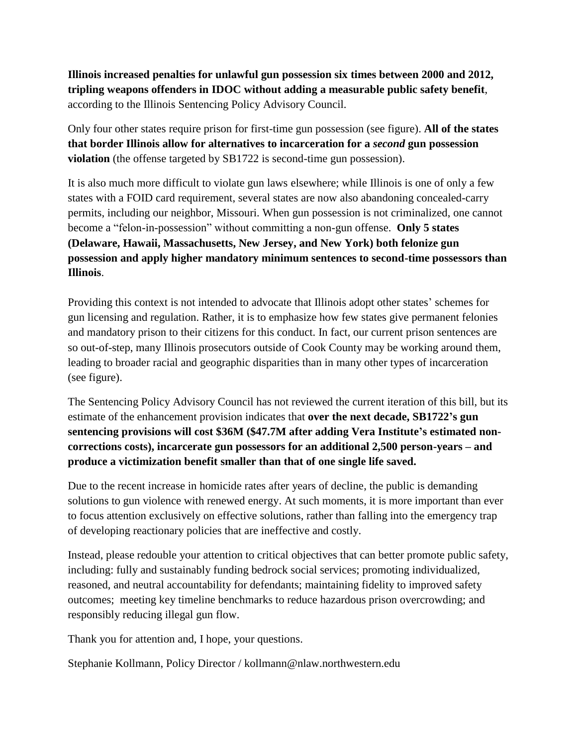**Illinois increased penalties for unlawful gun possession six times between 2000 and 2012, tripling weapons offenders in IDOC without adding a measurable public safety benefit**, according to the Illinois Sentencing Policy Advisory Council.

Only four other states require prison for first-time gun possession (see figure). **All of the states that border Illinois allow for alternatives to incarceration for a** *second* **gun possession violation** (the offense targeted by SB1722 is second-time gun possession).

It is also much more difficult to violate gun laws elsewhere; while Illinois is one of only a few states with a FOID card requirement, several states are now also abandoning concealed-carry permits, including our neighbor, Missouri. When gun possession is not criminalized, one cannot become a "felon-in-possession" without committing a non-gun offense. **Only 5 states (Delaware, Hawaii, Massachusetts, New Jersey, and New York) both felonize gun possession and apply higher mandatory minimum sentences to second-time possessors than Illinois**.

Providing this context is not intended to advocate that Illinois adopt other states' schemes for gun licensing and regulation. Rather, it is to emphasize how few states give permanent felonies and mandatory prison to their citizens for this conduct. In fact, our current prison sentences are so out-of-step, many Illinois prosecutors outside of Cook County may be working around them, leading to broader racial and geographic disparities than in many other types of incarceration (see figure).

The Sentencing Policy Advisory Council has not reviewed the current iteration of this bill, but its estimate of the enhancement provision indicates that **over the next decade, SB1722's gun sentencing provisions will cost \$36M (\$47.7M after adding Vera Institute's estimated noncorrections costs), incarcerate gun possessors for an additional 2,500 person-years – and produce a victimization benefit smaller than that of one single life saved.**

Due to the recent increase in homicide rates after years of decline, the public is demanding solutions to gun violence with renewed energy. At such moments, it is more important than ever to focus attention exclusively on effective solutions, rather than falling into the emergency trap of developing reactionary policies that are ineffective and costly.

Instead, please redouble your attention to critical objectives that can better promote public safety, including: fully and sustainably funding bedrock social services; promoting individualized, reasoned, and neutral accountability for defendants; maintaining fidelity to improved safety outcomes; meeting key timeline benchmarks to reduce hazardous prison overcrowding; and responsibly reducing illegal gun flow.

Thank you for attention and, I hope, your questions.

Stephanie Kollmann, Policy Director / kollmann@nlaw.northwestern.edu